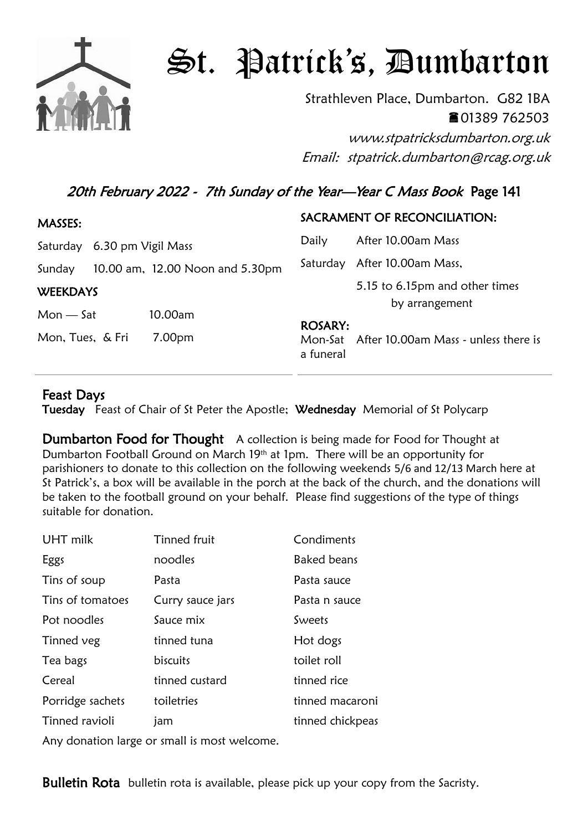

## St. Patrick's, Dumbarton

Strathleven Place, Dumbarton. G82 1BA 01389 762503

www.stpatricksdumbarton.org.uk Email: stpatrick.dumbarton@rcag.org.uk

## 20th February 2022 - 7th Sunday of the Year-Year C Mass Book Page 141

| MASSES:          |                                 |                                        | SACRAMENT OF RECONCILIATION:                     |
|------------------|---------------------------------|----------------------------------------|--------------------------------------------------|
|                  | Saturday 6.30 pm Vigil Mass     | Daily                                  | After 10.00am Mass                               |
| Sunday           | 10.00 am, 12.00 Noon and 5.30pm | Saturday                               | After 10.00am Mass,                              |
| <b>WEEKDAYS</b>  |                                 |                                        | 5.15 to 6.15pm and other times<br>by arrangement |
| $Mon - Sat$      | 10.00am                         |                                        |                                                  |
| Mon, Tues, & Fri | 7.00pm                          | <b>ROSARY:</b><br>Mon-Sat<br>a funeral | After 10.00am Mass - unless there is             |

## Feast Days

Tuesday Feast of Chair of St Peter the Apostle; Wednesday Memorial of St Polycarp

**Dumbarton Food for Thought** A collection is being made for Food for Thought at Dumbarton Football Ground on March 19th at 1pm. There will be an opportunity for parishioners to donate to this collection on the following weekends 5/6 and 12/13 March here at St Patrick's, a box will be available in the porch at the back of the church, and the donations will be taken to the football ground on your behalf. Please find suggestions of the type of things suitable for donation.

| UHT milk         | <b>Tinned fruit</b> | Condiments         |
|------------------|---------------------|--------------------|
| Eggs             | noodles             | <b>Baked beans</b> |
| Tins of soup     | Pasta               | Pasta sauce        |
| Tins of tomatoes | Curry sauce jars    | Pasta n sauce      |
| Pot noodles      | Sauce mix           | Sweets             |
| Tinned veg       | tinned tuna         | Hot dogs           |
| Tea bags         | biscuits            | toilet roll        |
| Cereal           | tinned custard      | tinned rice        |
| Porridge sachets | toiletries          | tinned macaroni    |
| Tinned ravioli   | jam                 | tinned chickpeas   |

Any donation large or small is most welcome.

**Bulletin Rota** bulletin rota is available, please pick up your copy from the Sacristy.